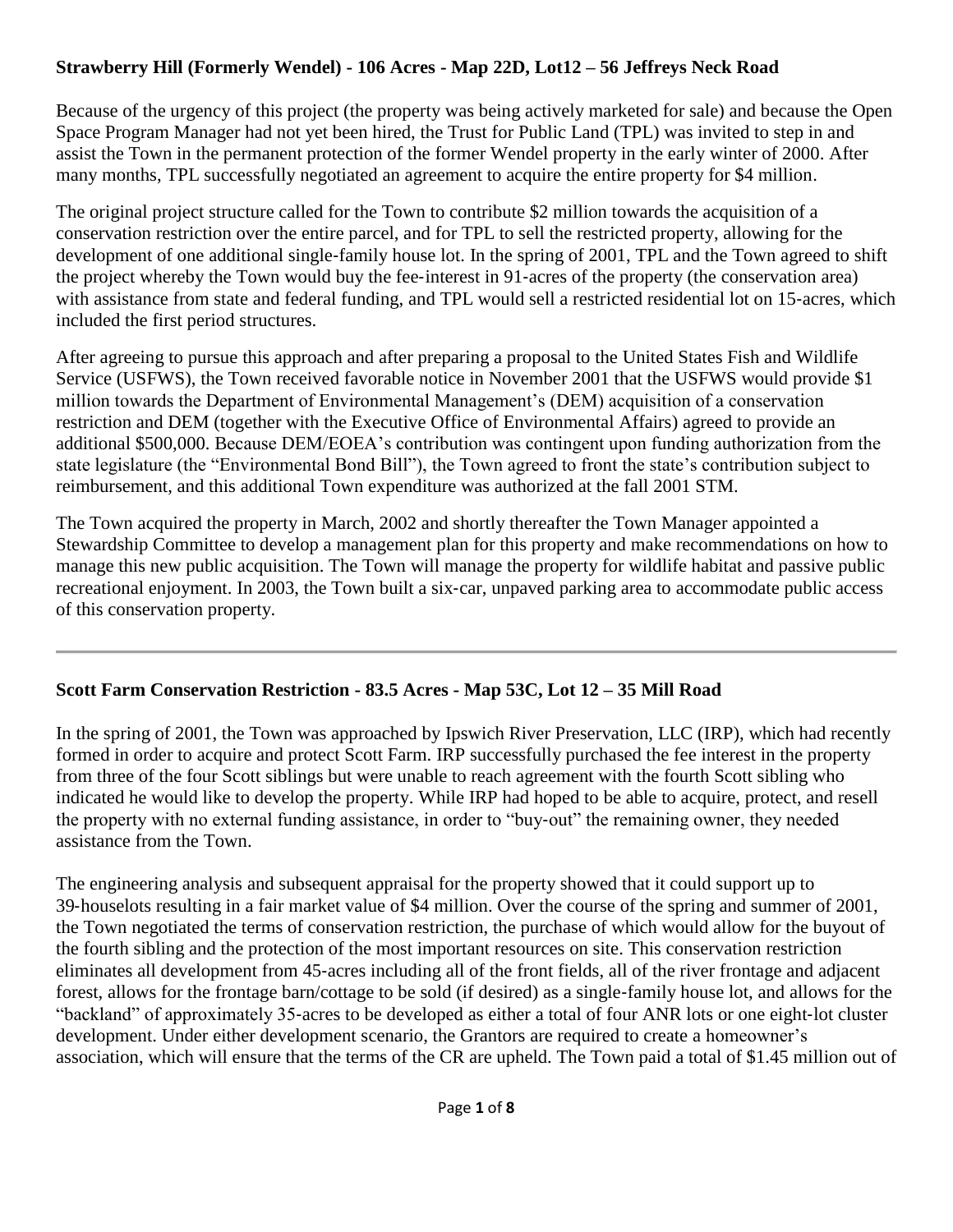## **Strawberry Hill (Formerly Wendel) - 106 Acres - Map 22D, Lot12 – 56 Jeffreys Neck Road**

Because of the urgency of this project (the property was being actively marketed for sale) and because the Open Space Program Manager had not yet been hired, the Trust for Public Land (TPL) was invited to step in and assist the Town in the permanent protection of the former Wendel property in the early winter of 2000. After many months, TPL successfully negotiated an agreement to acquire the entire property for \$4 million.

The original project structure called for the Town to contribute \$2 million towards the acquisition of a conservation restriction over the entire parcel, and for TPL to sell the restricted property, allowing for the development of one additional single‐family house lot. In the spring of 2001, TPL and the Town agreed to shift the project whereby the Town would buy the fee‐interest in 91‐acres of the property (the conservation area) with assistance from state and federal funding, and TPL would sell a restricted residential lot on 15-acres, which included the first period structures.

After agreeing to pursue this approach and after preparing a proposal to the United States Fish and Wildlife Service (USFWS), the Town received favorable notice in November 2001 that the USFWS would provide \$1 million towards the Department of Environmental Management's (DEM) acquisition of a conservation restriction and DEM (together with the Executive Office of Environmental Affairs) agreed to provide an additional \$500,000. Because DEM/EOEA's contribution was contingent upon funding authorization from the state legislature (the "Environmental Bond Bill"), the Town agreed to front the state's contribution subject to reimbursement, and this additional Town expenditure was authorized at the fall 2001 STM.

The Town acquired the property in March, 2002 and shortly thereafter the Town Manager appointed a Stewardship Committee to develop a management plan for this property and make recommendations on how to manage this new public acquisition. The Town will manage the property for wildlife habitat and passive public recreational enjoyment. In 2003, the Town built a six‐car, unpaved parking area to accommodate public access of this conservation property.

## **Scott Farm Conservation Restriction - 83.5 Acres - Map 53C, Lot 12 – 35 Mill Road**

In the spring of 2001, the Town was approached by Ipswich River Preservation, LLC (IRP), which had recently formed in order to acquire and protect Scott Farm. IRP successfully purchased the fee interest in the property from three of the four Scott siblings but were unable to reach agreement with the fourth Scott sibling who indicated he would like to develop the property. While IRP had hoped to be able to acquire, protect, and resell the property with no external funding assistance, in order to "buy‐out" the remaining owner, they needed assistance from the Town.

The engineering analysis and subsequent appraisal for the property showed that it could support up to 39‐houselots resulting in a fair market value of \$4 million. Over the course of the spring and summer of 2001, the Town negotiated the terms of conservation restriction, the purchase of which would allow for the buyout of the fourth sibling and the protection of the most important resources on site. This conservation restriction eliminates all development from 45‐acres including all of the front fields, all of the river frontage and adjacent forest, allows for the frontage barn/cottage to be sold (if desired) as a single-family house lot, and allows for the "backland" of approximately 35‐acres to be developed as either a total of four ANR lots or one eight‐lot cluster development. Under either development scenario, the Grantors are required to create a homeowner's association, which will ensure that the terms of the CR are upheld. The Town paid a total of \$1.45 million out of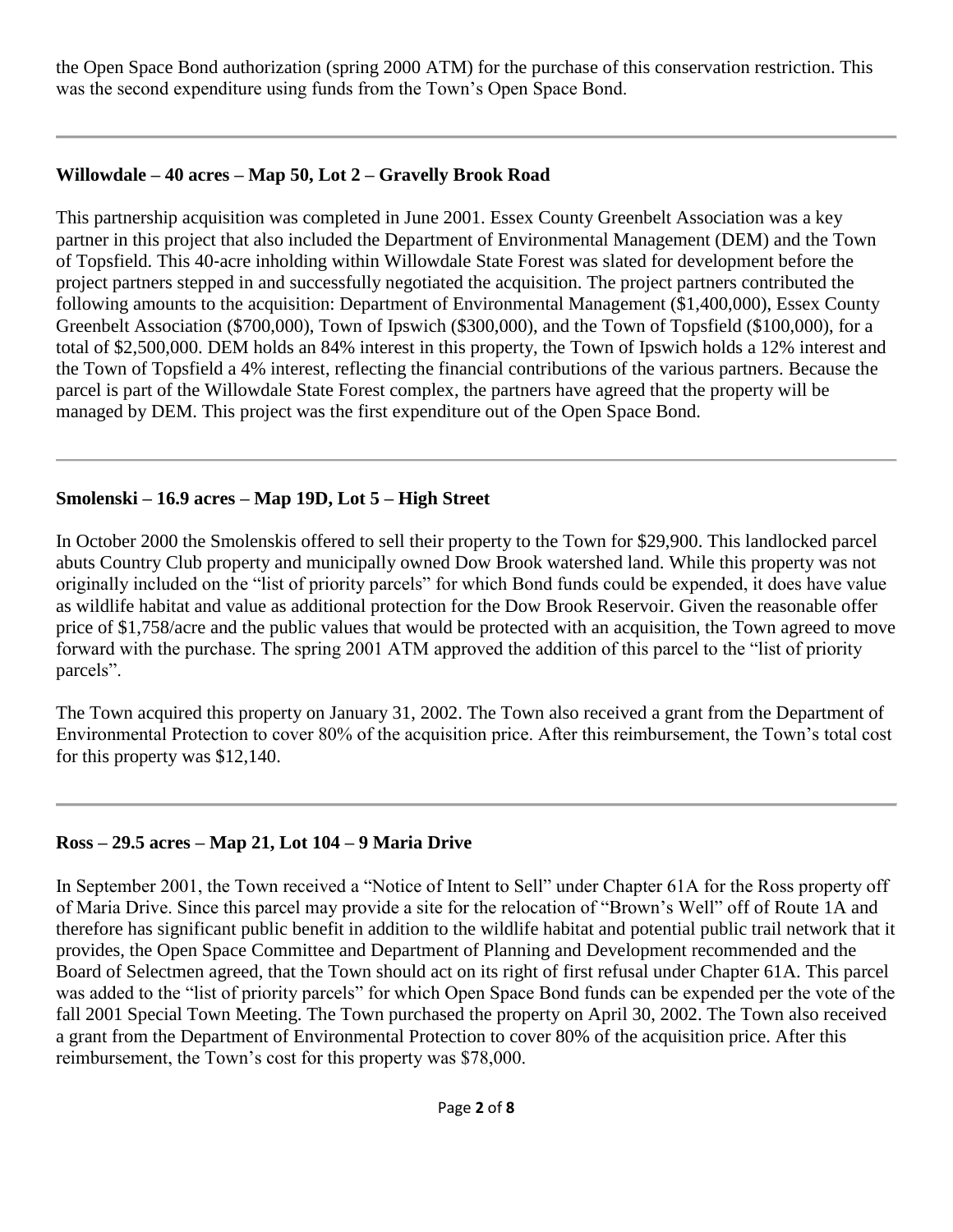the Open Space Bond authorization (spring 2000 ATM) for the purchase of this conservation restriction. This was the second expenditure using funds from the Town's Open Space Bond.

## **Willowdale – 40 acres – Map 50, Lot 2 – Gravelly Brook Road**

This partnership acquisition was completed in June 2001. Essex County Greenbelt Association was a key partner in this project that also included the Department of Environmental Management (DEM) and the Town of Topsfield. This 40‐acre inholding within Willowdale State Forest was slated for development before the project partners stepped in and successfully negotiated the acquisition. The project partners contributed the following amounts to the acquisition: Department of Environmental Management (\$1,400,000), Essex County Greenbelt Association (\$700,000), Town of Ipswich (\$300,000), and the Town of Topsfield (\$100,000), for a total of \$2,500,000. DEM holds an 84% interest in this property, the Town of Ipswich holds a 12% interest and the Town of Topsfield a 4% interest, reflecting the financial contributions of the various partners. Because the parcel is part of the Willowdale State Forest complex, the partners have agreed that the property will be managed by DEM. This project was the first expenditure out of the Open Space Bond.

## **Smolenski – 16.9 acres – Map 19D, Lot 5 – High Street**

In October 2000 the Smolenskis offered to sell their property to the Town for \$29,900. This landlocked parcel abuts Country Club property and municipally owned Dow Brook watershed land. While this property was not originally included on the "list of priority parcels" for which Bond funds could be expended, it does have value as wildlife habitat and value as additional protection for the Dow Brook Reservoir. Given the reasonable offer price of \$1,758/acre and the public values that would be protected with an acquisition, the Town agreed to move forward with the purchase. The spring 2001 ATM approved the addition of this parcel to the "list of priority parcels".

The Town acquired this property on January 31, 2002. The Town also received a grant from the Department of Environmental Protection to cover 80% of the acquisition price. After this reimbursement, the Town's total cost for this property was \$12,140.

## **Ross – 29.5 acres – Map 21, Lot 104 – 9 Maria Drive**

In September 2001, the Town received a "Notice of Intent to Sell" under Chapter 61A for the Ross property off of Maria Drive. Since this parcel may provide a site for the relocation of "Brown's Well" off of Route 1A and therefore has significant public benefit in addition to the wildlife habitat and potential public trail network that it provides, the Open Space Committee and Department of Planning and Development recommended and the Board of Selectmen agreed, that the Town should act on its right of first refusal under Chapter 61A. This parcel was added to the "list of priority parcels" for which Open Space Bond funds can be expended per the vote of the fall 2001 Special Town Meeting. The Town purchased the property on April 30, 2002. The Town also received a grant from the Department of Environmental Protection to cover 80% of the acquisition price. After this reimbursement, the Town's cost for this property was \$78,000.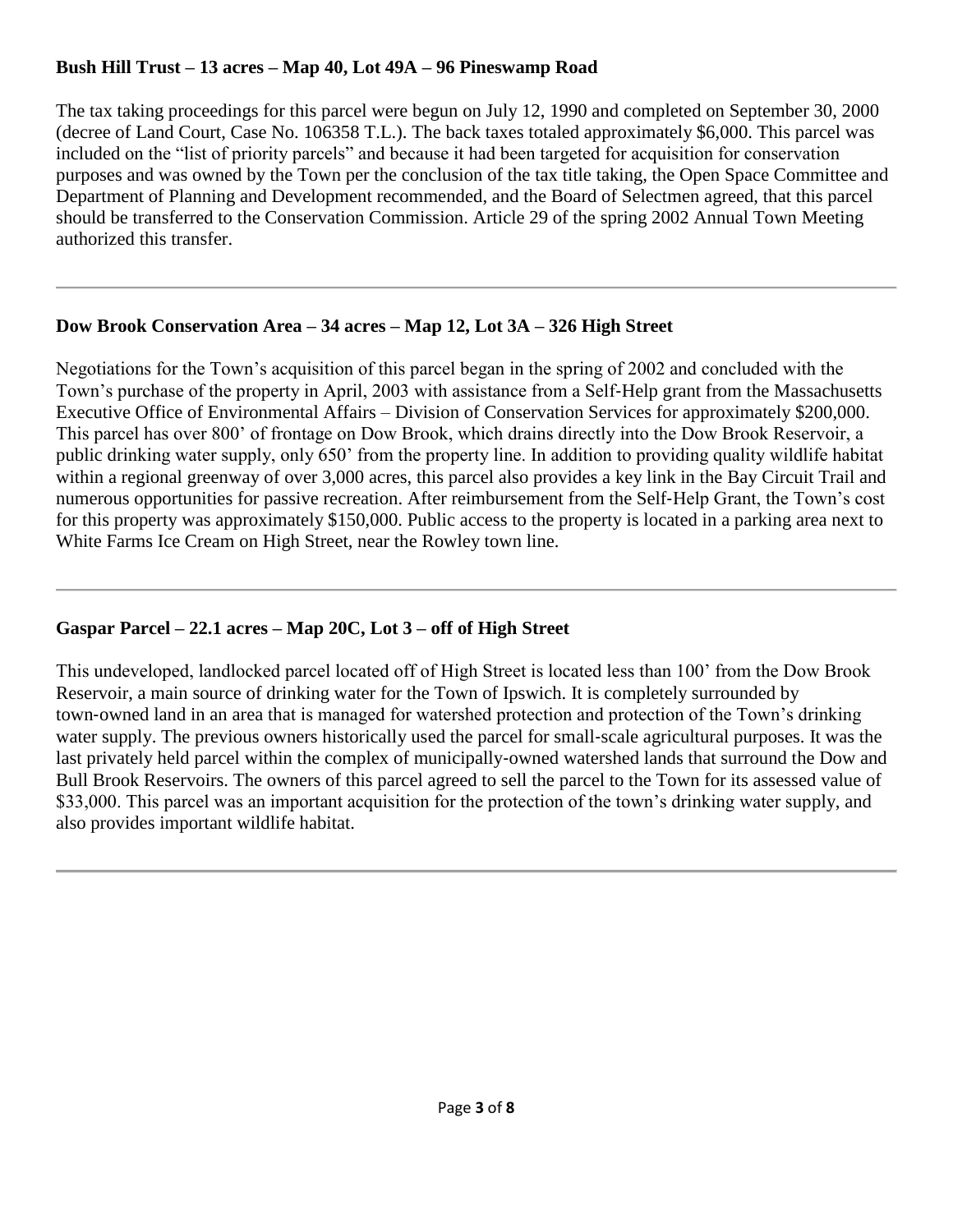## **Bush Hill Trust – 13 acres – Map 40, Lot 49A – 96 Pineswamp Road**

The tax taking proceedings for this parcel were begun on July 12, 1990 and completed on September 30, 2000 (decree of Land Court, Case No. 106358 T.L.). The back taxes totaled approximately \$6,000. This parcel was included on the "list of priority parcels" and because it had been targeted for acquisition for conservation purposes and was owned by the Town per the conclusion of the tax title taking, the Open Space Committee and Department of Planning and Development recommended, and the Board of Selectmen agreed, that this parcel should be transferred to the Conservation Commission. Article 29 of the spring 2002 Annual Town Meeting authorized this transfer.

## **Dow Brook Conservation Area – 34 acres – Map 12, Lot 3A – 326 High Street**

Negotiations for the Town's acquisition of this parcel began in the spring of 2002 and concluded with the Town's purchase of the property in April, 2003 with assistance from a Self‐Help grant from the Massachusetts Executive Office of Environmental Affairs – Division of Conservation Services for approximately \$200,000. This parcel has over 800' of frontage on Dow Brook, which drains directly into the Dow Brook Reservoir, a public drinking water supply, only 650' from the property line. In addition to providing quality wildlife habitat within a regional greenway of over 3,000 acres, this parcel also provides a key link in the Bay Circuit Trail and numerous opportunities for passive recreation. After reimbursement from the Self‐Help Grant, the Town's cost for this property was approximately \$150,000. Public access to the property is located in a parking area next to White Farms Ice Cream on High Street, near the Rowley town line.

## **Gaspar Parcel – 22.1 acres – Map 20C, Lot 3 – off of High Street**

This undeveloped, landlocked parcel located off of High Street is located less than 100' from the Dow Brook Reservoir, a main source of drinking water for the Town of Ipswich. It is completely surrounded by town-owned land in an area that is managed for watershed protection and protection of the Town's drinking water supply. The previous owners historically used the parcel for small-scale agricultural purposes. It was the last privately held parcel within the complex of municipally‐owned watershed lands that surround the Dow and Bull Brook Reservoirs. The owners of this parcel agreed to sell the parcel to the Town for its assessed value of \$33,000. This parcel was an important acquisition for the protection of the town's drinking water supply, and also provides important wildlife habitat.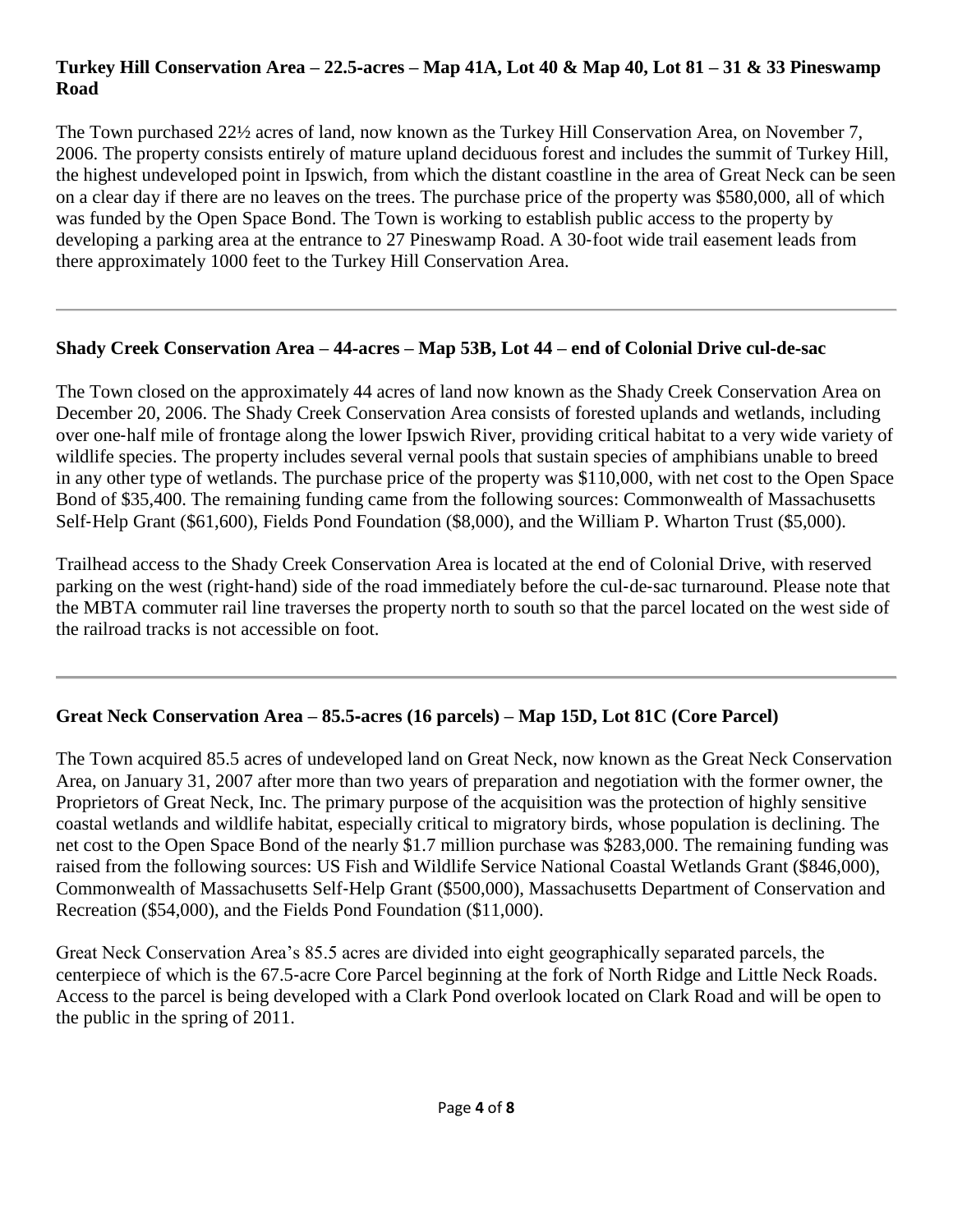#### **Turkey Hill Conservation Area – 22.5**‐**acres – Map 41A, Lot 40 & Map 40, Lot 81 – 31 & 33 Pineswamp Road**

The Town purchased 22½ acres of land, now known as the Turkey Hill Conservation Area, on November 7, 2006. The property consists entirely of mature upland deciduous forest and includes the summit of Turkey Hill, the highest undeveloped point in Ipswich, from which the distant coastline in the area of Great Neck can be seen on a clear day if there are no leaves on the trees. The purchase price of the property was \$580,000, all of which was funded by the Open Space Bond. The Town is working to establish public access to the property by developing a parking area at the entrance to 27 Pineswamp Road. A 30‐foot wide trail easement leads from there approximately 1000 feet to the Turkey Hill Conservation Area.

#### **Shady Creek Conservation Area – 44**‐**acres – Map 53B, Lot 44 – end of Colonial Drive cul**‐**de**‐**sac**

The Town closed on the approximately 44 acres of land now known as the Shady Creek Conservation Area on December 20, 2006. The Shady Creek Conservation Area consists of forested uplands and wetlands, including over one‐half mile of frontage along the lower Ipswich River, providing critical habitat to a very wide variety of wildlife species. The property includes several vernal pools that sustain species of amphibians unable to breed in any other type of wetlands. The purchase price of the property was \$110,000, with net cost to the Open Space Bond of \$35,400. The remaining funding came from the following sources: Commonwealth of Massachusetts Self-Help Grant (\$61,600), Fields Pond Foundation (\$8,000), and the William P. Wharton Trust (\$5,000).

Trailhead access to the Shady Creek Conservation Area is located at the end of Colonial Drive, with reserved parking on the west (right-hand) side of the road immediately before the cul-de-sac turnaround. Please note that the MBTA commuter rail line traverses the property north to south so that the parcel located on the west side of the railroad tracks is not accessible on foot.

# **Great Neck Conservation Area – 85.5**‐**acres (16 parcels) – Map 15D, Lot 81C (Core Parcel)**

The Town acquired 85.5 acres of undeveloped land on Great Neck, now known as the Great Neck Conservation Area, on January 31, 2007 after more than two years of preparation and negotiation with the former owner, the Proprietors of Great Neck, Inc. The primary purpose of the acquisition was the protection of highly sensitive coastal wetlands and wildlife habitat, especially critical to migratory birds, whose population is declining. The net cost to the Open Space Bond of the nearly \$1.7 million purchase was \$283,000. The remaining funding was raised from the following sources: US Fish and Wildlife Service National Coastal Wetlands Grant (\$846,000), Commonwealth of Massachusetts Self‐Help Grant (\$500,000), Massachusetts Department of Conservation and Recreation (\$54,000), and the Fields Pond Foundation (\$11,000).

Great Neck Conservation Area's 85.5 acres are divided into eight geographically separated parcels, the centerpiece of which is the 67.5‐acre Core Parcel beginning at the fork of North Ridge and Little Neck Roads. Access to the parcel is being developed with a Clark Pond overlook located on Clark Road and will be open to the public in the spring of 2011.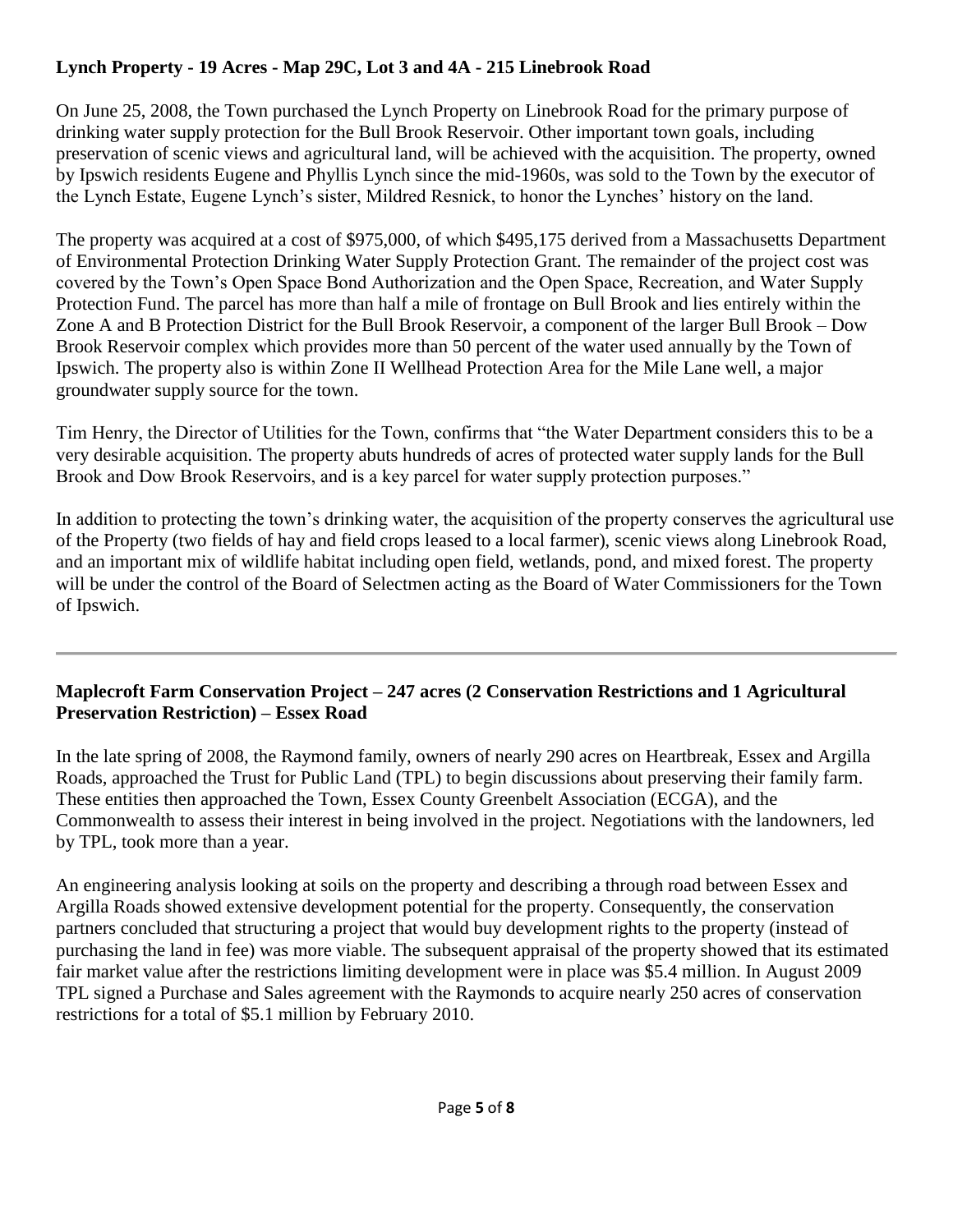## **Lynch Property - 19 Acres - Map 29C, Lot 3 and 4A - 215 Linebrook Road**

On June 25, 2008, the Town purchased the Lynch Property on Linebrook Road for the primary purpose of drinking water supply protection for the Bull Brook Reservoir. Other important town goals, including preservation of scenic views and agricultural land, will be achieved with the acquisition. The property, owned by Ipswich residents Eugene and Phyllis Lynch since the mid-1960s, was sold to the Town by the executor of the Lynch Estate, Eugene Lynch's sister, Mildred Resnick, to honor the Lynches' history on the land.

The property was acquired at a cost of \$975,000, of which \$495,175 derived from a Massachusetts Department of Environmental Protection Drinking Water Supply Protection Grant. The remainder of the project cost was covered by the Town's Open Space Bond Authorization and the Open Space, Recreation, and Water Supply Protection Fund. The parcel has more than half a mile of frontage on Bull Brook and lies entirely within the Zone A and B Protection District for the Bull Brook Reservoir, a component of the larger Bull Brook – Dow Brook Reservoir complex which provides more than 50 percent of the water used annually by the Town of Ipswich. The property also is within Zone II Wellhead Protection Area for the Mile Lane well, a major groundwater supply source for the town.

Tim Henry, the Director of Utilities for the Town, confirms that "the Water Department considers this to be a very desirable acquisition. The property abuts hundreds of acres of protected water supply lands for the Bull Brook and Dow Brook Reservoirs, and is a key parcel for water supply protection purposes."

In addition to protecting the town's drinking water, the acquisition of the property conserves the agricultural use of the Property (two fields of hay and field crops leased to a local farmer), scenic views along Linebrook Road, and an important mix of wildlife habitat including open field, wetlands, pond, and mixed forest. The property will be under the control of the Board of Selectmen acting as the Board of Water Commissioners for the Town of Ipswich.

## **Maplecroft Farm Conservation Project – 247 acres (2 Conservation Restrictions and 1 Agricultural Preservation Restriction) – Essex Road**

In the late spring of 2008, the Raymond family, owners of nearly 290 acres on Heartbreak, Essex and Argilla Roads, approached the Trust for Public Land (TPL) to begin discussions about preserving their family farm. These entities then approached the Town, Essex County Greenbelt Association (ECGA), and the Commonwealth to assess their interest in being involved in the project. Negotiations with the landowners, led by TPL, took more than a year.

An engineering analysis looking at soils on the property and describing a through road between Essex and Argilla Roads showed extensive development potential for the property. Consequently, the conservation partners concluded that structuring a project that would buy development rights to the property (instead of purchasing the land in fee) was more viable. The subsequent appraisal of the property showed that its estimated fair market value after the restrictions limiting development were in place was \$5.4 million. In August 2009 TPL signed a Purchase and Sales agreement with the Raymonds to acquire nearly 250 acres of conservation restrictions for a total of \$5.1 million by February 2010.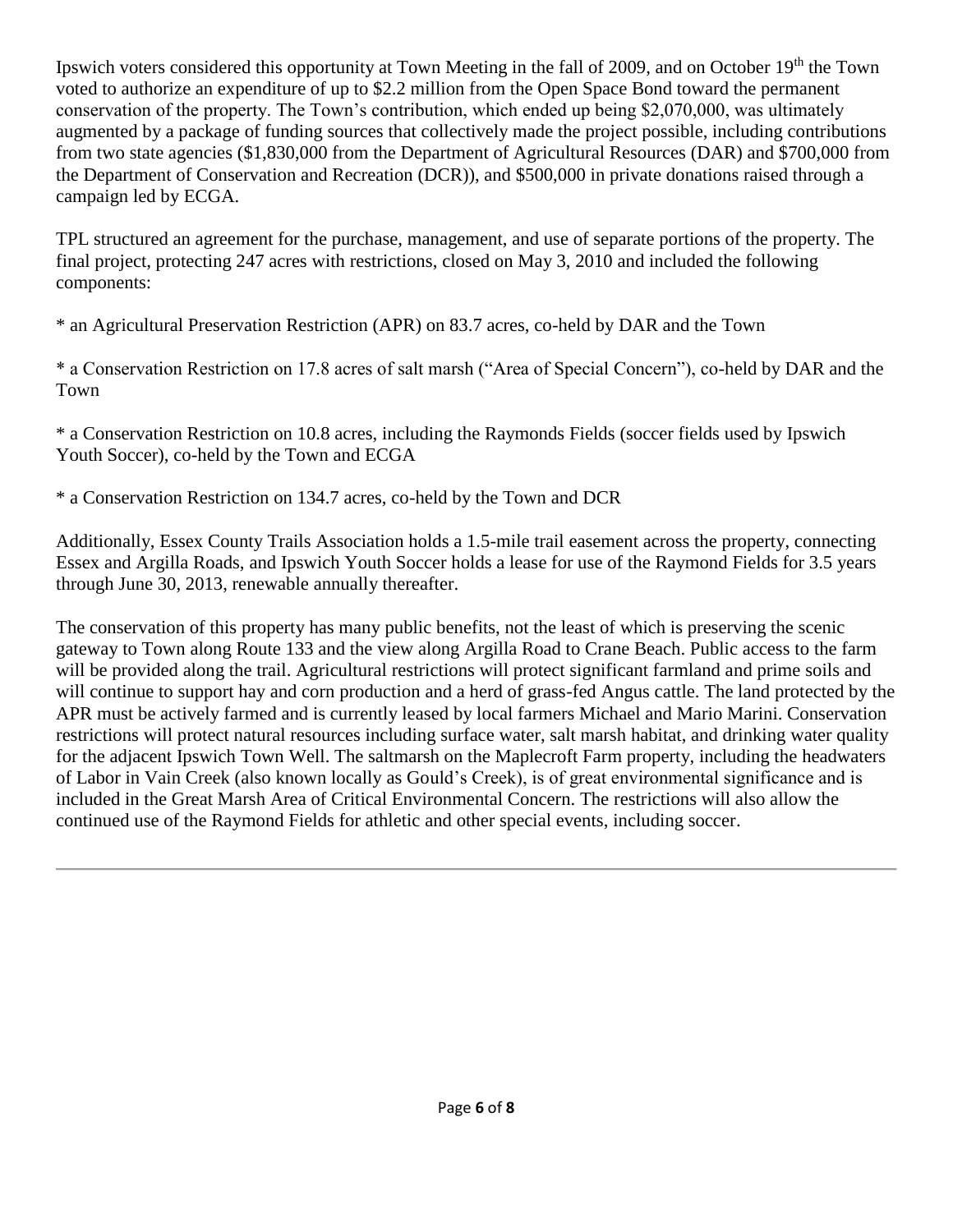Ipswich voters considered this opportunity at Town Meeting in the fall of 2009, and on October 19th the Town voted to authorize an expenditure of up to \$2.2 million from the Open Space Bond toward the permanent conservation of the property. The Town's contribution, which ended up being \$2,070,000, was ultimately augmented by a package of funding sources that collectively made the project possible, including contributions from two state agencies (\$1,830,000 from the Department of Agricultural Resources (DAR) and \$700,000 from the Department of Conservation and Recreation (DCR)), and \$500,000 in private donations raised through a campaign led by ECGA.

TPL structured an agreement for the purchase, management, and use of separate portions of the property. The final project, protecting 247 acres with restrictions, closed on May 3, 2010 and included the following components:

\* an Agricultural Preservation Restriction (APR) on 83.7 acres, co-held by DAR and the Town

\* a Conservation Restriction on 17.8 acres of salt marsh ("Area of Special Concern"), co-held by DAR and the Town

\* a Conservation Restriction on 10.8 acres, including the Raymonds Fields (soccer fields used by Ipswich Youth Soccer), co-held by the Town and ECGA

\* a Conservation Restriction on 134.7 acres, co-held by the Town and DCR

Additionally, Essex County Trails Association holds a 1.5-mile trail easement across the property, connecting Essex and Argilla Roads, and Ipswich Youth Soccer holds a lease for use of the Raymond Fields for 3.5 years through June 30, 2013, renewable annually thereafter.

The conservation of this property has many public benefits, not the least of which is preserving the scenic gateway to Town along Route 133 and the view along Argilla Road to Crane Beach. Public access to the farm will be provided along the trail. Agricultural restrictions will protect significant farmland and prime soils and will continue to support hay and corn production and a herd of grass-fed Angus cattle. The land protected by the APR must be actively farmed and is currently leased by local farmers Michael and Mario Marini. Conservation restrictions will protect natural resources including surface water, salt marsh habitat, and drinking water quality for the adjacent Ipswich Town Well. The saltmarsh on the Maplecroft Farm property, including the headwaters of Labor in Vain Creek (also known locally as Gould's Creek), is of great environmental significance and is included in the Great Marsh Area of Critical Environmental Concern. The restrictions will also allow the continued use of the Raymond Fields for athletic and other special events, including soccer.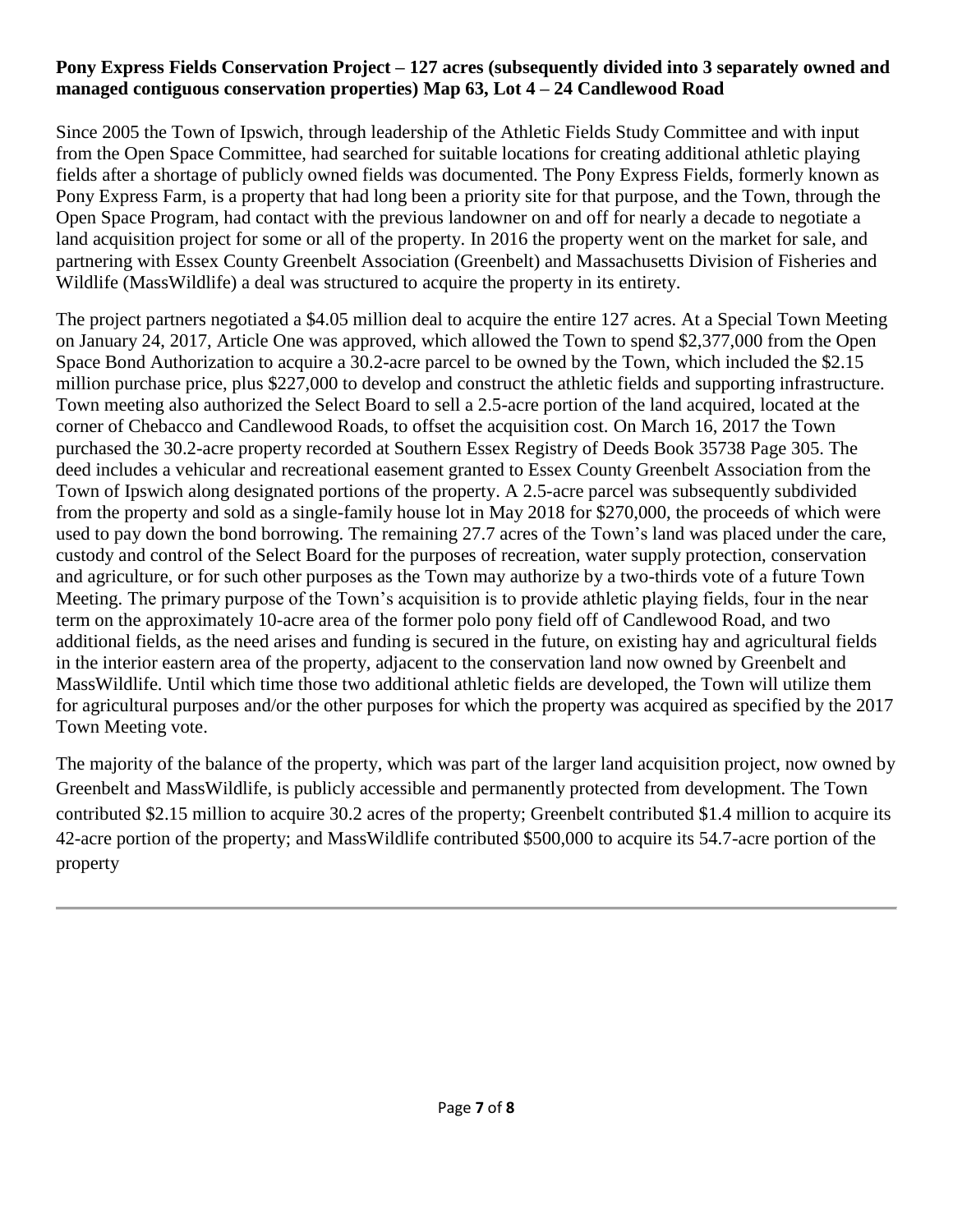#### **Pony Express Fields Conservation Project – 127 acres (subsequently divided into 3 separately owned and managed contiguous conservation properties) Map 63, Lot 4 – 24 Candlewood Road**

Since 2005 the Town of Ipswich, through leadership of the Athletic Fields Study Committee and with input from the Open Space Committee, had searched for suitable locations for creating additional athletic playing fields after a shortage of publicly owned fields was documented. The Pony Express Fields, formerly known as Pony Express Farm, is a property that had long been a priority site for that purpose, and the Town, through the Open Space Program, had contact with the previous landowner on and off for nearly a decade to negotiate a land acquisition project for some or all of the property. In 2016 the property went on the market for sale, and partnering with Essex County Greenbelt Association (Greenbelt) and Massachusetts Division of Fisheries and Wildlife (MassWildlife) a deal was structured to acquire the property in its entirety.

The project partners negotiated a \$4.05 million deal to acquire the entire 127 acres. At a Special Town Meeting on January 24, 2017, Article One was approved, which allowed the Town to spend \$2,377,000 from the Open Space Bond Authorization to acquire a 30.2-acre parcel to be owned by the Town, which included the \$2.15 million purchase price, plus \$227,000 to develop and construct the athletic fields and supporting infrastructure. Town meeting also authorized the Select Board to sell a 2.5-acre portion of the land acquired, located at the corner of Chebacco and Candlewood Roads, to offset the acquisition cost. On March 16, 2017 the Town purchased the 30.2-acre property recorded at Southern Essex Registry of Deeds Book 35738 Page 305. The deed includes a vehicular and recreational easement granted to Essex County Greenbelt Association from the Town of Ipswich along designated portions of the property. A 2.5-acre parcel was subsequently subdivided from the property and sold as a single-family house lot in May 2018 for \$270,000, the proceeds of which were used to pay down the bond borrowing. The remaining 27.7 acres of the Town's land was placed under the care, custody and control of the Select Board for the purposes of recreation, water supply protection, conservation and agriculture, or for such other purposes as the Town may authorize by a two-thirds vote of a future Town Meeting. The primary purpose of the Town's acquisition is to provide athletic playing fields, four in the near term on the approximately 10-acre area of the former polo pony field off of Candlewood Road, and two additional fields, as the need arises and funding is secured in the future, on existing hay and agricultural fields in the interior eastern area of the property, adjacent to the conservation land now owned by Greenbelt and MassWildlife. Until which time those two additional athletic fields are developed, the Town will utilize them for agricultural purposes and/or the other purposes for which the property was acquired as specified by the 2017 Town Meeting vote.

The majority of the balance of the property, which was part of the larger land acquisition project, now owned by Greenbelt and MassWildlife, is publicly accessible and permanently protected from development. The Town contributed \$2.15 million to acquire 30.2 acres of the property; Greenbelt contributed \$1.4 million to acquire its 42-acre portion of the property; and MassWildlife contributed \$500,000 to acquire its 54.7-acre portion of the property